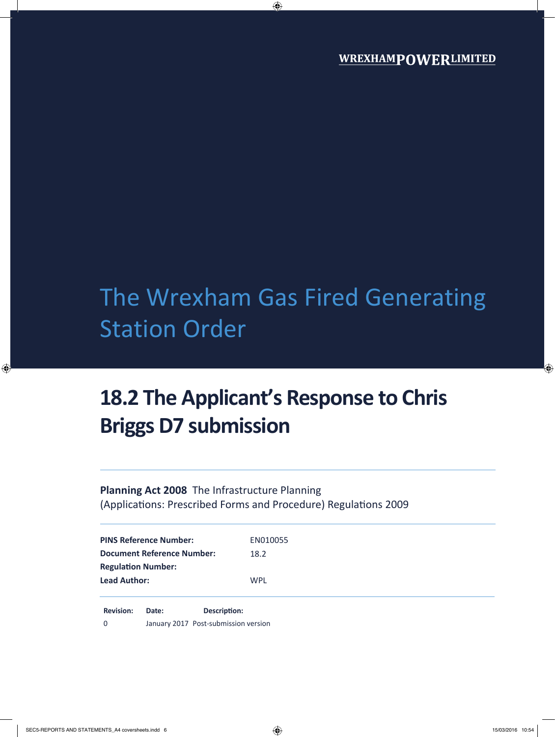# The Wrexham Gas Fired Generating Station Order

## **18.2 The Applicant's Response to Chris Briggs D7 submission**

**Planning Act 2008** The Infrastructure Planning (Applications: Prescribed Forms and Procedure) Regulations 2009

| <b>PINS Reference Number:</b>     | EN010055   |  |
|-----------------------------------|------------|--|
| <b>Document Reference Number:</b> | 18.2       |  |
| <b>Regulation Number:</b>         |            |  |
| <b>Lead Author:</b>               | <b>WPL</b> |  |
|                                   |            |  |

**Revision: Date: Description:** 0 January 2017 Post-submission version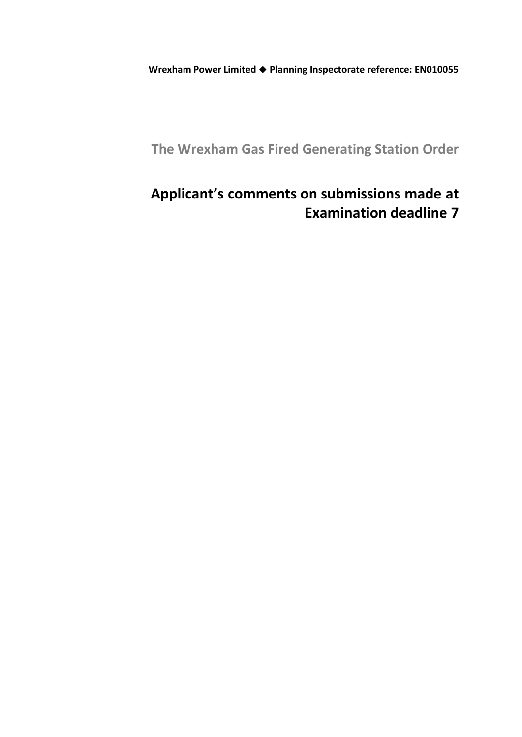**Wrexham Power Limited Planning Inspectorate reference: EN010055**

**The Wrexham Gas Fired Generating Station Order**

### **Applicant's comments on submissions made at Examination deadline 7**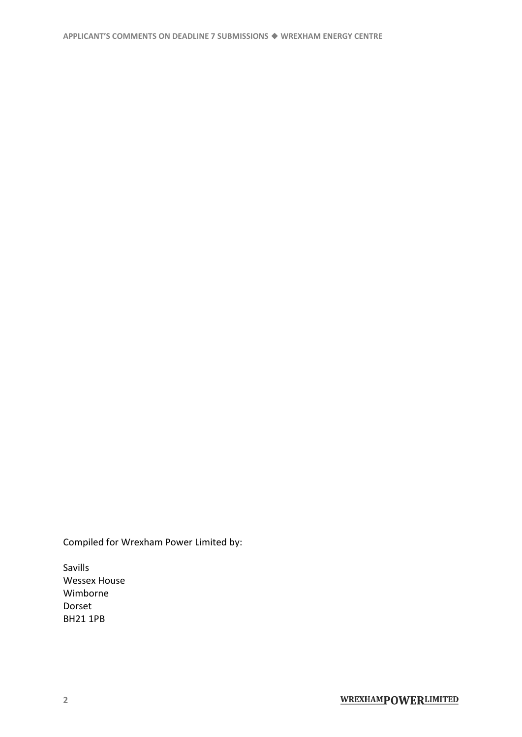Compiled for Wrexham Power Limited by:

Savills Wessex House Wimborne Dorset BH21 1PB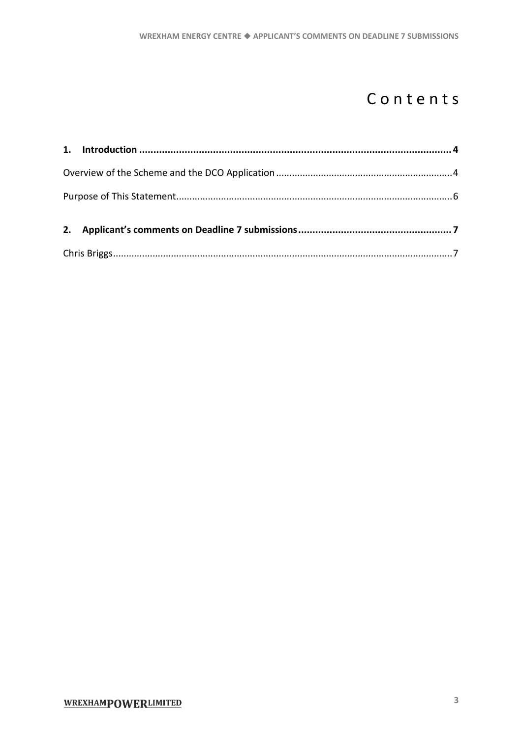### Contents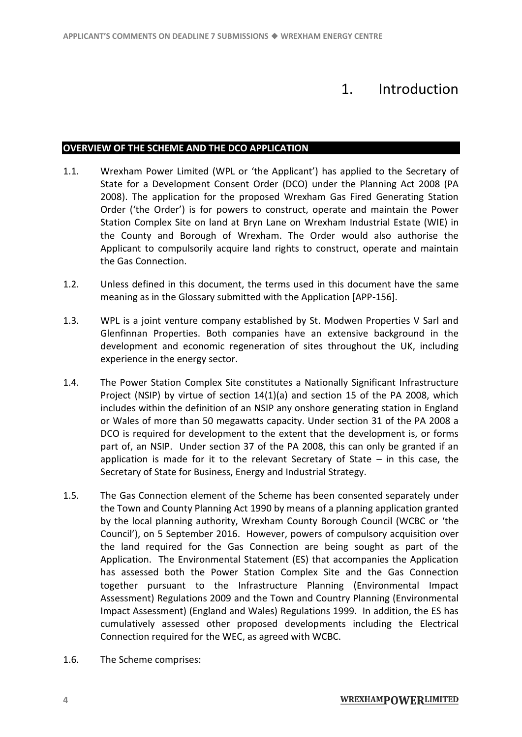### 1. Introduction

### <span id="page-5-1"></span><span id="page-5-0"></span>**OVERVIEW OF THE SCHEME AND THE DCO APPLICATION**

- 1.1. Wrexham Power Limited (WPL or 'the Applicant') has applied to the Secretary of State for a Development Consent Order (DCO) under the Planning Act 2008 (PA 2008). The application for the proposed Wrexham Gas Fired Generating Station Order ('the Order') is for powers to construct, operate and maintain the Power Station Complex Site on land at Bryn Lane on Wrexham Industrial Estate (WIE) in the County and Borough of Wrexham. The Order would also authorise the Applicant to compulsorily acquire land rights to construct, operate and maintain the Gas Connection.
- 1.2. Unless defined in this document, the terms used in this document have the same meaning as in the Glossary submitted with the Application [APP-156].
- 1.3. WPL is a joint venture company established by St. Modwen Properties V Sarl and Glenfinnan Properties. Both companies have an extensive background in the development and economic regeneration of sites throughout the UK, including experience in the energy sector.
- 1.4. The Power Station Complex Site constitutes a Nationally Significant Infrastructure Project (NSIP) by virtue of section 14(1)(a) and section 15 of the PA 2008, which includes within the definition of an NSIP any onshore generating station in England or Wales of more than 50 megawatts capacity. Under section 31 of the PA 2008 a DCO is required for development to the extent that the development is, or forms part of, an NSIP. Under section 37 of the PA 2008, this can only be granted if an application is made for it to the relevant Secretary of State  $-$  in this case, the Secretary of State for Business, Energy and Industrial Strategy.
- 1.5. The Gas Connection element of the Scheme has been consented separately under the Town and County Planning Act 1990 by means of a planning application granted by the local planning authority, Wrexham County Borough Council (WCBC or 'the Council'), on 5 September 2016. However, powers of compulsory acquisition over the land required for the Gas Connection are being sought as part of the Application. The Environmental Statement (ES) that accompanies the Application has assessed both the Power Station Complex Site and the Gas Connection together pursuant to the Infrastructure Planning (Environmental Impact Assessment) Regulations 2009 and the Town and Country Planning (Environmental Impact Assessment) (England and Wales) Regulations 1999. In addition, the ES has cumulatively assessed other proposed developments including the Electrical Connection required for the WEC, as agreed with WCBC.
- 1.6. The Scheme comprises: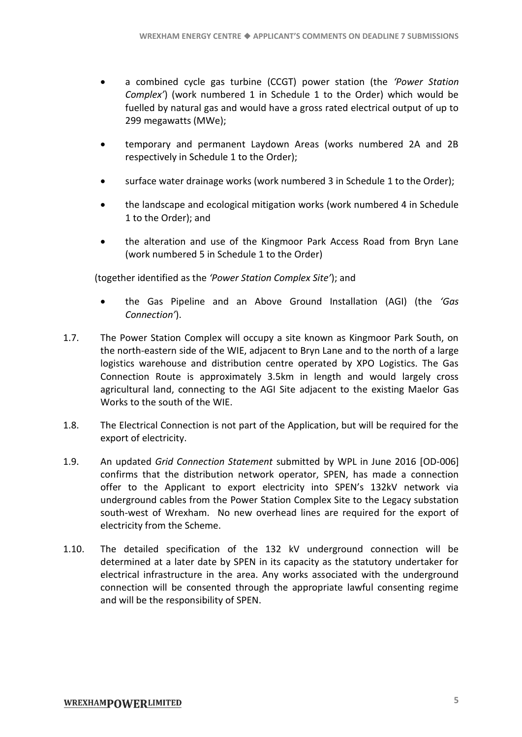- a combined cycle gas turbine (CCGT) power station (the *'Power Station Complex'*) (work numbered 1 in Schedule 1 to the Order) which would be fuelled by natural gas and would have a gross rated electrical output of up to 299 megawatts (MWe);
- temporary and permanent Laydown Areas (works numbered 2A and 2B respectively in Schedule 1 to the Order);
- surface water drainage works (work numbered 3 in Schedule 1 to the Order);
- the landscape and ecological mitigation works (work numbered 4 in Schedule 1 to the Order); and
- the alteration and use of the Kingmoor Park Access Road from Bryn Lane (work numbered 5 in Schedule 1 to the Order)

(together identified as the *'Power Station Complex Site'*); and

- the Gas Pipeline and an Above Ground Installation (AGI) (the *'Gas Connection'*).
- 1.7. The Power Station Complex will occupy a site known as Kingmoor Park South, on the north-eastern side of the WIE, adjacent to Bryn Lane and to the north of a large logistics warehouse and distribution centre operated by XPO Logistics. The Gas Connection Route is approximately 3.5km in length and would largely cross agricultural land, connecting to the AGI Site adjacent to the existing Maelor Gas Works to the south of the WIE.
- 1.8. The Electrical Connection is not part of the Application, but will be required for the export of electricity.
- 1.9. An updated *Grid Connection Statement* submitted by WPL in June 2016 [OD-006] confirms that the distribution network operator, SPEN, has made a connection offer to the Applicant to export electricity into SPEN's 132kV network via underground cables from the Power Station Complex Site to the Legacy substation south-west of Wrexham. No new overhead lines are required for the export of electricity from the Scheme.
- 1.10. The detailed specification of the 132 kV underground connection will be determined at a later date by SPEN in its capacity as the statutory undertaker for electrical infrastructure in the area. Any works associated with the underground connection will be consented through the appropriate lawful consenting regime and will be the responsibility of SPEN.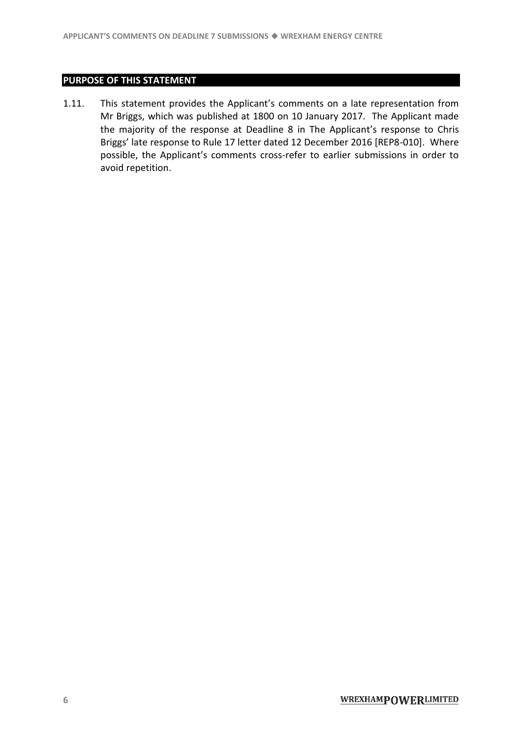### <span id="page-7-0"></span>**PURPOSE OF THIS STATEMENT**

1.11. This statement provides the Applicant's comments on a late representation from Mr Briggs, which was published at 1800 on 10 January 2017. The Applicant made the majority of the response at Deadline 8 in The Applicant's response to Chris Briggs' late response to Rule 17 letter dated 12 December 2016 [REP8-010]. Where possible, the Applicant's comments cross-refer to earlier submissions in order to avoid repetition.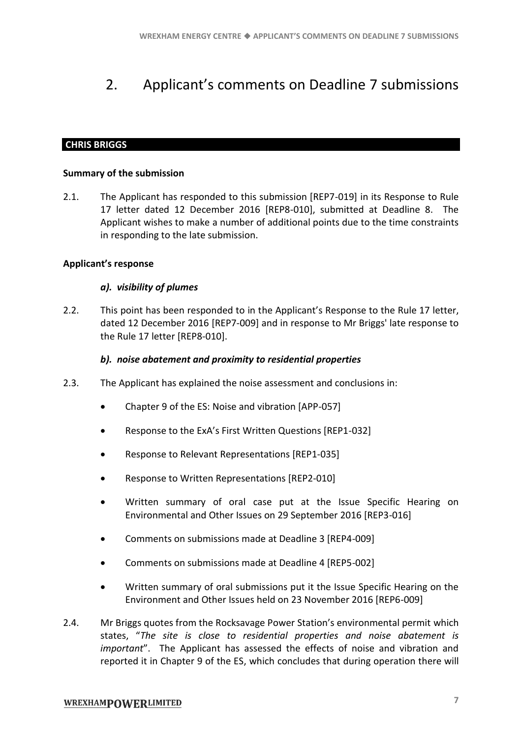### <span id="page-8-0"></span>2. Applicant's comments on Deadline 7 submissions

### <span id="page-8-1"></span>**CHRIS BRIGGS**

#### **Summary of the submission**

2.1. The Applicant has responded to this submission [REP7-019] in its Response to Rule 17 letter dated 12 December 2016 [REP8-010], submitted at Deadline 8. The Applicant wishes to make a number of additional points due to the time constraints in responding to the late submission.

#### **Applicant's response**

#### *a). visibility of plumes*

2.2. This point has been responded to in the Applicant's Response to the Rule 17 letter, dated 12 December 2016 [REP7-009] and in response to Mr Briggs' late response to the Rule 17 letter [REP8-010].

#### *b). noise abatement and proximity to residential properties*

- 2.3. The Applicant has explained the noise assessment and conclusions in:
	- Chapter 9 of the ES: Noise and vibration [APP-057]
	- Response to the ExA's First Written Questions [REP1-032]
	- Response to Relevant Representations [REP1-035]
	- Response to Written Representations [REP2-010]
	- Written summary of oral case put at the Issue Specific Hearing on Environmental and Other Issues on 29 September 2016 [REP3-016]
	- Comments on submissions made at Deadline 3 [REP4-009]
	- Comments on submissions made at Deadline 4 [REP5-002]
	- Written summary of oral submissions put it the Issue Specific Hearing on the Environment and Other Issues held on 23 November 2016 [REP6-009]
- 2.4. Mr Briggs quotes from the Rocksavage Power Station's environmental permit which states, "*The site is close to residential properties and noise abatement is important*". The Applicant has assessed the effects of noise and vibration and reported it in Chapter 9 of the ES, which concludes that during operation there will